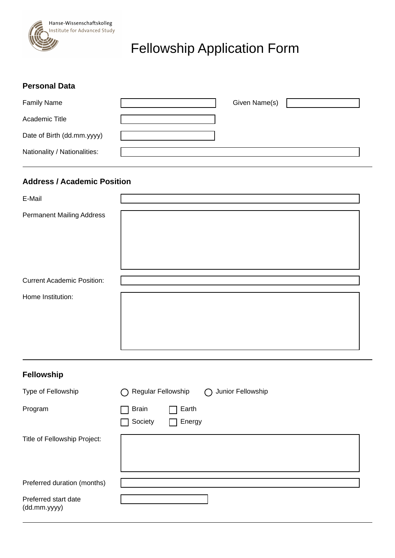

# Fellowship Application Form

#### **Personal Data**

(dd.mm.yyyy)

| <b>Family Name</b>           | Given Name(s) |  |
|------------------------------|---------------|--|
| Academic Title               |               |  |
| Date of Birth (dd.mm.yyyy)   |               |  |
| Nationality / Nationalities: |               |  |

## **Address / Academic Position**

| E-Mail                            |                                                       |
|-----------------------------------|-------------------------------------------------------|
| <b>Permanent Mailing Address</b>  |                                                       |
| <b>Current Academic Position:</b> |                                                       |
| Home Institution:                 |                                                       |
| Fellowship                        |                                                       |
| Type of Fellowship                | Regular Fellowship<br>Junior Fellowship<br>$\bigcirc$ |
| Program                           | <b>Brain</b><br>Earth<br>Society<br>Energy            |
| Title of Fellowship Project:      |                                                       |
| Preferred duration (months)       |                                                       |
| Preferred start date              |                                                       |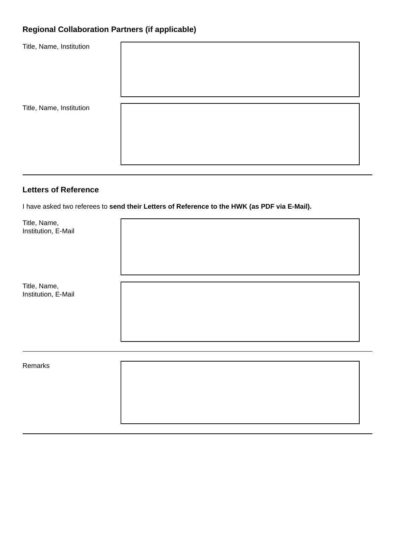## **Regional Collaboration Partners (if applicable)**

| Title, Name, Institution |  |
|--------------------------|--|
| Title, Name, Institution |  |

## **Letters of Reference**

I have asked two referees to **send their Letters of Reference to the HWK (as PDF via E-Mail).**

| Title, Name,<br>Institution, E-Mail |  |
|-------------------------------------|--|
| Title, Name,<br>Institution, E-Mail |  |
| Remarks                             |  |